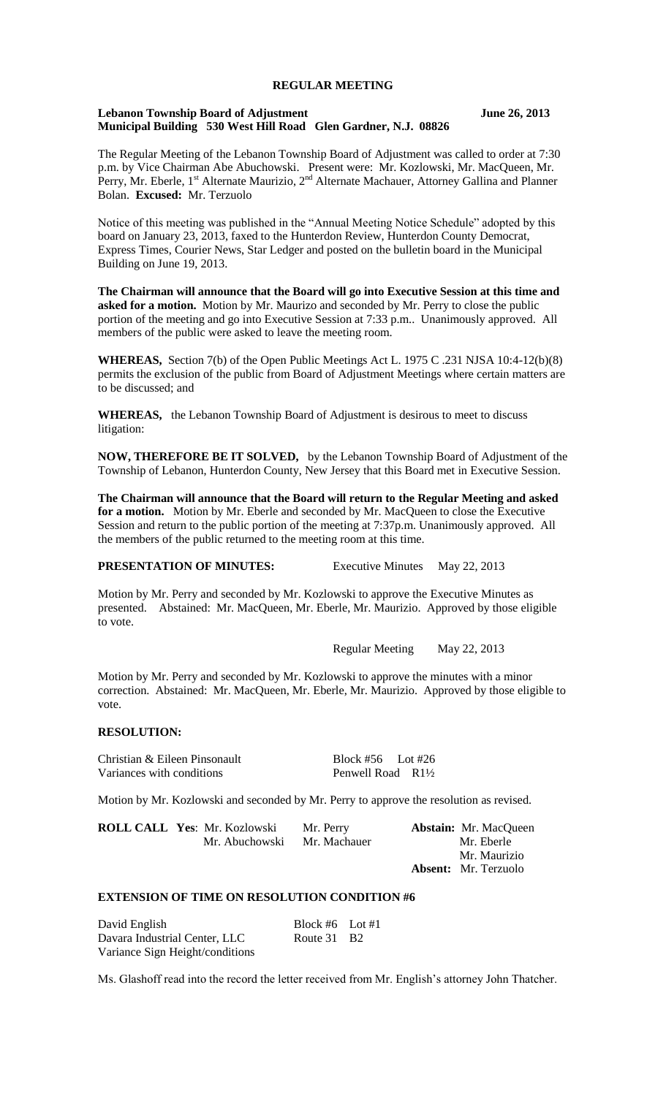# **REGULAR MEETING**

## **Lebanon Township Board of Adjustment June 26, 2013 Municipal Building 530 West Hill Road Glen Gardner, N.J. 08826**

The Regular Meeting of the Lebanon Township Board of Adjustment was called to order at 7:30 p.m. by Vice Chairman Abe Abuchowski. Present were: Mr. Kozlowski, Mr. MacQueen, Mr. Perry, Mr. Eberle,  $1^{st}$  Alternate Maurizio,  $2^{nd}$  Alternate Machauer, Attorney Gallina and Planner Bolan. **Excused:** Mr. Terzuolo

Notice of this meeting was published in the "Annual Meeting Notice Schedule" adopted by this board on January 23, 2013, faxed to the Hunterdon Review, Hunterdon County Democrat, Express Times, Courier News, Star Ledger and posted on the bulletin board in the Municipal Building on June 19, 2013.

**The Chairman will announce that the Board will go into Executive Session at this time and asked for a motion.** Motion by Mr. Maurizo and seconded by Mr. Perry to close the public portion of the meeting and go into Executive Session at 7:33 p.m.. Unanimously approved. All members of the public were asked to leave the meeting room.

**WHEREAS,** Section 7(b) of the Open Public Meetings Act L. 1975 C .231 NJSA 10:4-12(b)(8) permits the exclusion of the public from Board of Adjustment Meetings where certain matters are to be discussed; and

**WHEREAS,** the Lebanon Township Board of Adjustment is desirous to meet to discuss litigation:

**NOW, THEREFORE BE IT SOLVED,** by the Lebanon Township Board of Adjustment of the Township of Lebanon, Hunterdon County, New Jersey that this Board met in Executive Session.

**The Chairman will announce that the Board will return to the Regular Meeting and asked for a motion.** Motion by Mr. Eberle and seconded by Mr. MacQueen to close the Executive Session and return to the public portion of the meeting at 7:37p.m. Unanimously approved. All the members of the public returned to the meeting room at this time.

**PRESENTATION OF MINUTES:** Executive Minutes May 22, 2013

Motion by Mr. Perry and seconded by Mr. Kozlowski to approve the Executive Minutes as presented. Abstained: Mr. MacQueen, Mr. Eberle, Mr. Maurizio. Approved by those eligible to vote.

Regular Meeting May 22, 2013

Motion by Mr. Perry and seconded by Mr. Kozlowski to approve the minutes with a minor correction. Abstained: Mr. MacQueen, Mr. Eberle, Mr. Maurizio. Approved by those eligible to vote.

# **RESOLUTION:**

Christian & Eileen Pinsonault Block #56 Lot #26<br>Variances with conditions Penwell Road R1<sup>1</sup>/<sub>2</sub> Variances with conditions

Motion by Mr. Kozlowski and seconded by Mr. Perry to approve the resolution as revised.

**ROLL CALL Yes**: Mr. Kozlowski Mr. Perry **Abstain:** Mr. MacQueen Mr. Abuchowski Mr. Maurizio **Absent:** Mr. Terzuolo

# **EXTENSION OF TIME ON RESOLUTION CONDITION #6**

| David English                   | Block #6 Lot #1 |  |
|---------------------------------|-----------------|--|
| Davara Industrial Center, LLC   | Route 31 B2     |  |
| Variance Sign Height/conditions |                 |  |

Ms. Glashoff read into the record the letter received from Mr. English's attorney John Thatcher.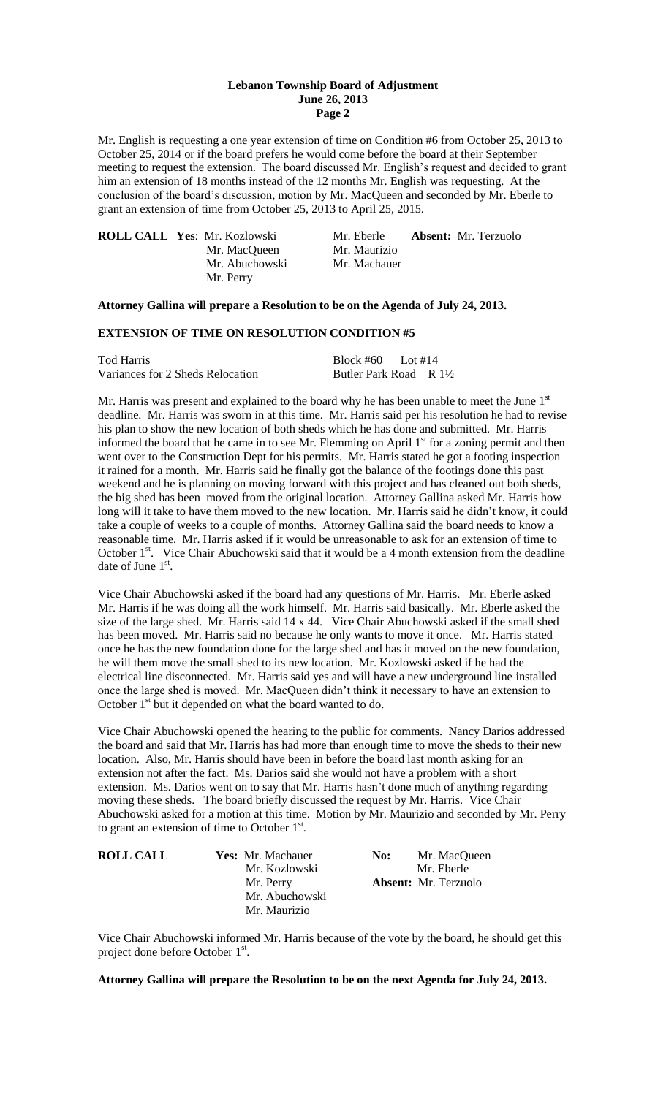#### **Lebanon Township Board of Adjustment June 26, 2013 Page 2**

Mr. English is requesting a one year extension of time on Condition #6 from October 25, 2013 to October 25, 2014 or if the board prefers he would come before the board at their September meeting to request the extension. The board discussed Mr. English's request and decided to grant him an extension of 18 months instead of the 12 months Mr. English was requesting. At the conclusion of the board's discussion, motion by Mr. MacQueen and seconded by Mr. Eberle to grant an extension of time from October 25, 2013 to April 25, 2015.

| <b>ROLL CALL Yes: Mr. Kozlowski</b> | Mr. Eberle   | <b>Absent:</b> Mr. Terzuolo |
|-------------------------------------|--------------|-----------------------------|
| Mr. MacQueen                        | Mr. Maurizio |                             |
| Mr. Abuchowski                      | Mr. Machauer |                             |
| Mr. Perry                           |              |                             |

#### **Attorney Gallina will prepare a Resolution to be on the Agenda of July 24, 2013.**

## **EXTENSION OF TIME ON RESOLUTION CONDITION #5**

| Tod Harris                       | Block #60 Lot #14                 |  |
|----------------------------------|-----------------------------------|--|
| Variances for 2 Sheds Relocation | Butler Park Road R $1\frac{1}{2}$ |  |

Mr. Harris was present and explained to the board why he has been unable to meet the June  $1<sup>st</sup>$ deadline. Mr. Harris was sworn in at this time. Mr. Harris said per his resolution he had to revise his plan to show the new location of both sheds which he has done and submitted. Mr. Harris informed the board that he came in to see Mr. Flemming on April 1<sup>st</sup> for a zoning permit and then went over to the Construction Dept for his permits. Mr. Harris stated he got a footing inspection it rained for a month. Mr. Harris said he finally got the balance of the footings done this past weekend and he is planning on moving forward with this project and has cleaned out both sheds, the big shed has been moved from the original location. Attorney Gallina asked Mr. Harris how long will it take to have them moved to the new location. Mr. Harris said he didn't know, it could take a couple of weeks to a couple of months. Attorney Gallina said the board needs to know a reasonable time. Mr. Harris asked if it would be unreasonable to ask for an extension of time to October 1<sup>st</sup>. Vice Chair Abuchowski said that it would be a 4 month extension from the deadline date of June  $1<sup>st</sup>$ .

Vice Chair Abuchowski asked if the board had any questions of Mr. Harris. Mr. Eberle asked Mr. Harris if he was doing all the work himself. Mr. Harris said basically. Mr. Eberle asked the size of the large shed. Mr. Harris said 14 x 44. Vice Chair Abuchowski asked if the small shed has been moved. Mr. Harris said no because he only wants to move it once. Mr. Harris stated once he has the new foundation done for the large shed and has it moved on the new foundation, he will them move the small shed to its new location. Mr. Kozlowski asked if he had the electrical line disconnected. Mr. Harris said yes and will have a new underground line installed once the large shed is moved. Mr. MacQueen didn't think it necessary to have an extension to October 1<sup>st</sup> but it depended on what the board wanted to do.

Vice Chair Abuchowski opened the hearing to the public for comments. Nancy Darios addressed the board and said that Mr. Harris has had more than enough time to move the sheds to their new location. Also, Mr. Harris should have been in before the board last month asking for an extension not after the fact. Ms. Darios said she would not have a problem with a short extension. Ms. Darios went on to say that Mr. Harris hasn't done much of anything regarding moving these sheds. The board briefly discussed the request by Mr. Harris. Vice Chair Abuchowski asked for a motion at this time. Motion by Mr. Maurizio and seconded by Mr. Perry to grant an extension of time to October  $1<sup>st</sup>$ .

| <b>ROLL CALL</b> | <b>Yes:</b> Mr. Machauer | No: | Mr. MacQueen                |
|------------------|--------------------------|-----|-----------------------------|
|                  | Mr. Kozlowski            |     | Mr. Eberle                  |
|                  | Mr. Perry                |     | <b>Absent:</b> Mr. Terzuolo |
|                  | Mr. Abuchowski           |     |                             |
|                  | Mr. Maurizio             |     |                             |

Vice Chair Abuchowski informed Mr. Harris because of the vote by the board, he should get this project done before October 1<sup>st</sup>.

**Attorney Gallina will prepare the Resolution to be on the next Agenda for July 24, 2013.**